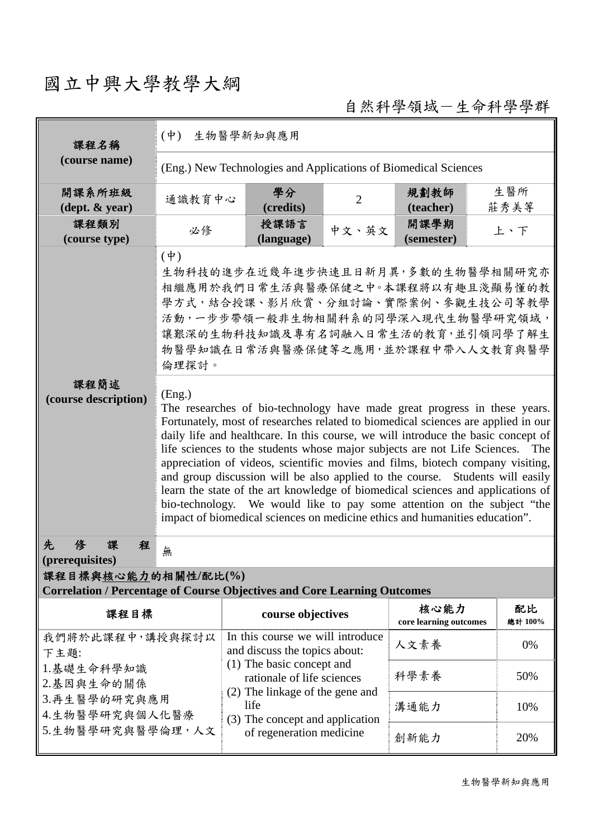## 國立中興大學教學大綱

自然科學領域-生命科學學群

| 課程名稱                                                                                                   | 生物醫學新知與應用<br>$(\dot{\Psi})$                                                                                                                                                                                                                                                                                                                                                                                                                                                                                                                                                                                                                                                                                                                                    |                                                                            |                |                                |               |  |  |
|--------------------------------------------------------------------------------------------------------|----------------------------------------------------------------------------------------------------------------------------------------------------------------------------------------------------------------------------------------------------------------------------------------------------------------------------------------------------------------------------------------------------------------------------------------------------------------------------------------------------------------------------------------------------------------------------------------------------------------------------------------------------------------------------------------------------------------------------------------------------------------|----------------------------------------------------------------------------|----------------|--------------------------------|---------------|--|--|
| (course name)                                                                                          | (Eng.) New Technologies and Applications of Biomedical Sciences                                                                                                                                                                                                                                                                                                                                                                                                                                                                                                                                                                                                                                                                                                |                                                                            |                |                                |               |  |  |
| 開課系所班級<br>$(\text{dept.} \& \text{ year})$                                                             | 通識教育中心                                                                                                                                                                                                                                                                                                                                                                                                                                                                                                                                                                                                                                                                                                                                                         | 學分<br>(credits)                                                            | $\overline{2}$ | 規劃教師<br>(teacher)              | 生醫所<br>莊秀美等   |  |  |
| 課程類別<br>(course type)                                                                                  | 必修                                                                                                                                                                                                                                                                                                                                                                                                                                                                                                                                                                                                                                                                                                                                                             | 授課語言<br>(language)                                                         | 中文、英文          | 開課學期<br>(semester)             | 上、下           |  |  |
|                                                                                                        | $(\dagger)$<br>生物科技的進步在近幾年進步快速且日新月異,多數的生物醫學相關研究亦<br>相繼應用於我們日常生活與醫療保健之中。本課程將以有趣且淺顯易懂的教<br>學方式,結合授課、影片欣賞、分組討論、實際案例、參觀生技公司等教學<br>活動,一步步帶領一般非生物相關科系的同學深入現代生物醫學研究領域,<br>讓艱深的生物科技知識及專有名詞融入日常生活的教育,並引領同學了解生<br>物醫學知識在日常活與醫療保健等之應用,並於課程中帶入人文教育與醫學<br>倫理探討。                                                                                                                                                                                                                                                                                                                                                                                                                                                                                                             |                                                                            |                |                                |               |  |  |
| 課程簡述<br>(course description)                                                                           | (Eng.)<br>The researches of bio-technology have made great progress in these years.<br>Fortunately, most of researches related to biomedical sciences are applied in our<br>daily life and healthcare. In this course, we will introduce the basic concept of<br>life sciences to the students whose major subjects are not Life Sciences. The<br>appreciation of videos, scientific movies and films, biotech company visiting,<br>and group discussion will be also applied to the course. Students will easily<br>learn the state of the art knowledge of biomedical sciences and applications of<br>bio-technology. We would like to pay some attention on the subject "the<br>impact of biomedical sciences on medicine ethics and humanities education". |                                                                            |                |                                |               |  |  |
| 先<br>俢<br>程<br>(prerequisites)                                                                         | 無                                                                                                                                                                                                                                                                                                                                                                                                                                                                                                                                                                                                                                                                                                                                                              |                                                                            |                |                                |               |  |  |
| 課程目標與核心能力的相關性/配比(%)<br><b>Correlation / Percentage of Course Objectives and Core Learning Outcomes</b> |                                                                                                                                                                                                                                                                                                                                                                                                                                                                                                                                                                                                                                                                                                                                                                |                                                                            |                |                                |               |  |  |
| 課程目標                                                                                                   |                                                                                                                                                                                                                                                                                                                                                                                                                                                                                                                                                                                                                                                                                                                                                                | course objectives                                                          |                | 核心能力<br>core learning outcomes | 配比<br>總計 100% |  |  |
| 我們將於此課程中,講授與探討以<br>下主題:                                                                                |                                                                                                                                                                                                                                                                                                                                                                                                                                                                                                                                                                                                                                                                                                                                                                | In this course we will introduce<br>and discuss the topics about:          |                | 人文素養                           | 0%            |  |  |
| 1.基礎生命科學知識<br>2.基因與生命的關係                                                                               |                                                                                                                                                                                                                                                                                                                                                                                                                                                                                                                                                                                                                                                                                                                                                                | (1) The basic concept and<br>rationale of life sciences                    |                | 科學素養                           | 50%           |  |  |
| 3.再生醫學的研究與應用<br>4.生物醫學研究與個人化醫療                                                                         |                                                                                                                                                                                                                                                                                                                                                                                                                                                                                                                                                                                                                                                                                                                                                                | (2) The linkage of the gene and<br>life<br>(3) The concept and application |                | 溝通能力                           | 10%           |  |  |
| 5.生物醫學研究與醫學倫理,人文                                                                                       |                                                                                                                                                                                                                                                                                                                                                                                                                                                                                                                                                                                                                                                                                                                                                                | of regeneration medicine                                                   |                | 創新能力                           | 20%           |  |  |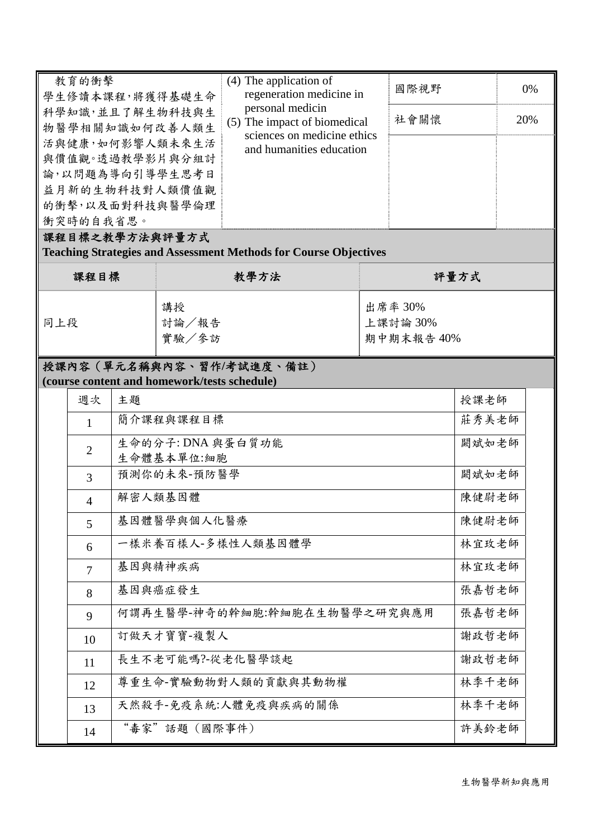| 教育的衝擊<br>學生修讀本課程,將獲得基礎生命          |                | $(4)$ The application of<br>regeneration medicine in<br>personal medicin<br>(5) The impact of biomedical |                                              | 國際視野                                                                    |      | 0%         |       |  |
|-----------------------------------|----------------|----------------------------------------------------------------------------------------------------------|----------------------------------------------|-------------------------------------------------------------------------|------|------------|-------|--|
| 科學知識,並且了解生物科技與生<br>物醫學相關知識如何改善人類生 |                |                                                                                                          |                                              | 社會關懷                                                                    |      | 20%        |       |  |
|                                   |                |                                                                                                          | 活與健康,如何影響人類未來生活                              | sciences on medicine ethics                                             |      |            |       |  |
|                                   |                |                                                                                                          | 與價值觀。透過教學影片與分組討                              | and humanities education                                                |      |            |       |  |
|                                   |                |                                                                                                          | 論,以問題為導向引導學生思考日                              |                                                                         |      |            |       |  |
|                                   |                |                                                                                                          | 益月新的生物科技對人類價值觀                               |                                                                         |      |            |       |  |
|                                   | 衝突時的自我省思。      |                                                                                                          | 的衝擊,以及面對科技與醫學倫理                              |                                                                         |      |            |       |  |
|                                   |                |                                                                                                          | 課程目標之教學方法與評量方式                               |                                                                         |      |            |       |  |
|                                   |                |                                                                                                          |                                              | <b>Teaching Strategies and Assessment Methods for Course Objectives</b> |      |            |       |  |
| 課程目標                              |                | 教學方法                                                                                                     |                                              |                                                                         | 評量方式 |            |       |  |
|                                   |                |                                                                                                          | 講授                                           |                                                                         |      | 出席率 30%    |       |  |
| 同上段                               |                |                                                                                                          | 討論/報告                                        |                                                                         |      | 上課討論 30%   |       |  |
|                                   |                |                                                                                                          | 實驗/參訪                                        |                                                                         |      | 期中期末報告 40% |       |  |
|                                   |                |                                                                                                          |                                              | 授課內容(單元名稱與內容、習作/考試進度、備註)                                                |      |            |       |  |
|                                   |                |                                                                                                          | (course content and homework/tests schedule) |                                                                         |      |            |       |  |
|                                   | 週次             | 主題                                                                                                       |                                              |                                                                         |      |            | 授課老師  |  |
|                                   | $\mathbf{1}$   |                                                                                                          | 簡介課程與課程目標                                    |                                                                         |      |            | 莊秀美老師 |  |
|                                   | $\overline{2}$ |                                                                                                          | 生命的分子: DNA 與蛋白質功能<br>生命體基本單位:細胞              |                                                                         |      |            | 闕斌如老師 |  |
|                                   | $\overline{3}$ |                                                                                                          | 預測你的未來-預防醫學                                  |                                                                         |      |            | 闕斌如老師 |  |
|                                   | $\overline{4}$ |                                                                                                          | 解密人類基因體                                      |                                                                         |      |            | 陳健尉老師 |  |
|                                   | 5              |                                                                                                          | 基因體醫學與個人化醫療                                  |                                                                         |      |            | 陳健尉老師 |  |
|                                   | 6              |                                                                                                          |                                              | 一樣米養百樣人-多樣性人類基因體學                                                       |      |            | 林宜玫老師 |  |
|                                   | $\overline{7}$ |                                                                                                          | 基因與精神疾病                                      |                                                                         |      |            | 林宜玫老師 |  |
|                                   | 8              |                                                                                                          | 基因與癌症發生                                      |                                                                         |      |            | 張嘉哲老師 |  |
|                                   | 9              |                                                                                                          |                                              | 何謂再生醫學-神奇的幹細胞:幹細胞在生物醫學之研究與應用                                            |      |            | 張嘉哲老師 |  |
|                                   | 10             |                                                                                                          | 訂做天才寶寶-複製人                                   |                                                                         |      |            | 謝政哲老師 |  |
|                                   | 11             |                                                                                                          |                                              | 長生不老可能嗎?-從老化醫學談起                                                        |      |            | 謝政哲老師 |  |
|                                   | 12             |                                                                                                          |                                              | 尊重生命-實驗動物對人類的貢獻與其動物權                                                    |      |            | 林季千老師 |  |
|                                   | 13             |                                                                                                          |                                              | 天然殺手-免疫系統:人體免疫與疾病的關係                                                    |      |            | 林季千老師 |  |
|                                   | 14             |                                                                                                          | "毒家"話題 (國際事件)                                |                                                                         |      |            | 許美鈴老師 |  |